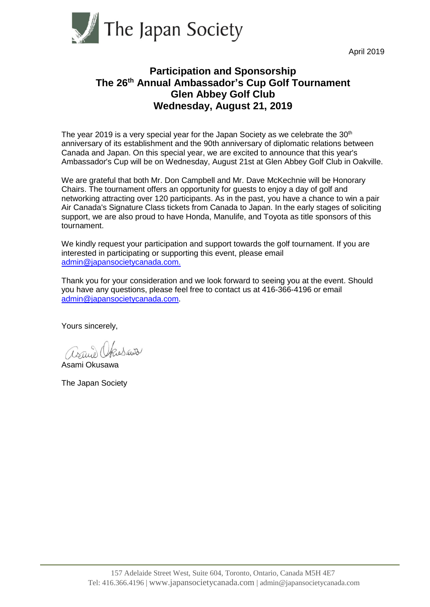

April 2019

## **Participation and Sponsorship The 26 th Annual Ambassador's Cup Golf Tournament Glen Abbey Golf Club Wednesday, August 21, 2019**

The year 2019 is a very special year for the Japan Society as we celebrate the  $30<sup>th</sup>$ anniversary of its establishment and the 90th anniversary of diplomatic relations between Canada and Japan. On this special year, we are excited to announce that this year's Ambassador's Cup will be on Wednesday, August 21st at Glen Abbey Golf Club in Oakville.

We are grateful that both Mr. Don Campbell and Mr. Dave McKechnie will be Honorary Chairs. The tournament offers an opportunity for guests to enjoy a day of golf and networking attracting over 120 participants. As in the past, you have a chance to win a pair Air Canada's Signature Class tickets from Canada to Japan. In the early stages of soliciting support, we are also proud to have Honda, Manulife, and Toyota as title sponsors of this tournament.

We kindly request your participation and support towards the golf tournament. If you are interested in participating or supporting this event, please email [admin@japansocietycanada.com.](mailto:admin@japansocietycanada.com)

Thank you for your consideration and we look forward to seeing you at the event. Should you have any questions, please feel free to contact us at 416-366-4196 or email [admin@japansocietycanada.com.](mailto:admin@japansocietycanada.com)

Yours sincerely,

arand Okusawa

Asami Okusawa

The Japan Society